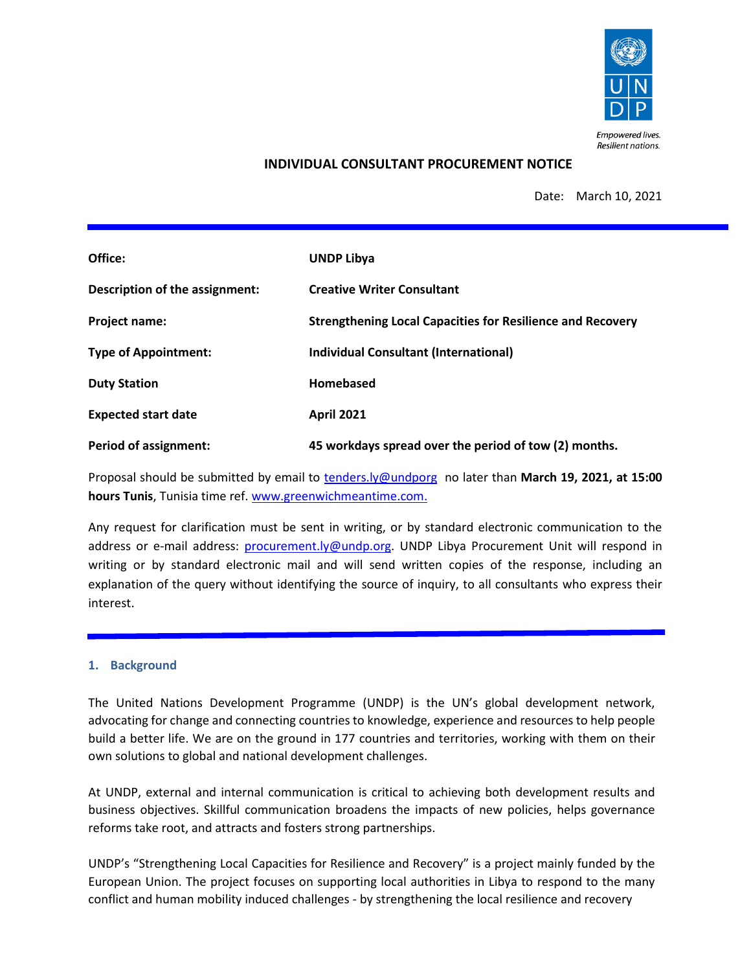

### **INDIVIDUAL CONSULTANT PROCUREMENT NOTICE**

Date: March 10, 2021

| Office:                        | <b>UNDP Libya</b>                                                 |
|--------------------------------|-------------------------------------------------------------------|
| Description of the assignment: | <b>Creative Writer Consultant</b>                                 |
| Project name:                  | <b>Strengthening Local Capacities for Resilience and Recovery</b> |
| <b>Type of Appointment:</b>    | Individual Consultant (International)                             |
| <b>Duty Station</b>            | Homebased                                                         |
| <b>Expected start date</b>     | <b>April 2021</b>                                                 |
| <b>Period of assignment:</b>   | 45 workdays spread over the period of tow (2) months.             |

Proposal should be submitted by email to [tenders.ly@undporg](mailto:tenders.ly@undporg) no later than **March 19, 2021, at 15:00 hours Tunis**, Tunisia time ref. [www.greenwichmeantime.com.](http://www.greenwichmeantime.com/)

Any request for clarification must be sent in writing, or by standard electronic communication to the address or e-mail address: [procurement.ly@undp.org.](mailto:procurement.ly@undp.org) UNDP Libya Procurement Unit will respond in writing or by standard electronic mail and will send written copies of the response, including an explanation of the query without identifying the source of inquiry, to all consultants who express their interest.

#### **1. Background**

The United Nations Development Programme (UNDP) is the UN's global development network, advocating for change and connecting countries to knowledge, experience and resources to help people build a better life. We are on the ground in 177 countries and territories, working with them on their own solutions to global and national development challenges.

At UNDP, external and internal communication is critical to achieving both development results and business objectives. Skillful communication broadens the impacts of new policies, helps governance reforms take root, and attracts and fosters strong partnerships.

UNDP's "Strengthening Local Capacities for Resilience and Recovery" is a project mainly funded by the European Union. The project focuses on supporting local authorities in Libya to respond to the many conflict and human mobility induced challenges - by strengthening the local resilience and recovery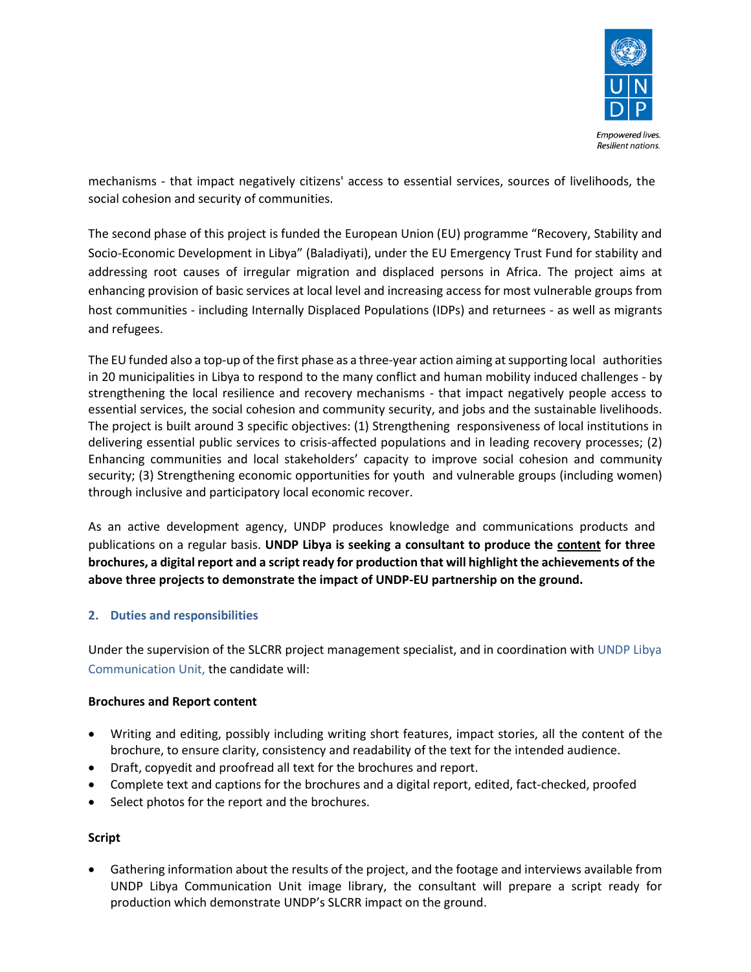

mechanisms - that impact negatively citizens' access to essential services, sources of livelihoods, the social cohesion and security of communities.

The second phase of this project is funded the European Union (EU) programme "Recovery, Stability and Socio-Economic Development in Libya" (Baladiyati), under the EU Emergency Trust Fund for stability and addressing root causes of irregular migration and displaced persons in Africa. The project aims at enhancing provision of basic services at local level and increasing access for most vulnerable groups from host communities - including Internally Displaced Populations (IDPs) and returnees - as well as migrants and refugees.

The EU funded also a top-up of the first phase as a three-year action aiming at supporting local authorities in 20 municipalities in Libya to respond to the many conflict and human mobility induced challenges - by strengthening the local resilience and recovery mechanisms - that impact negatively people access to essential services, the social cohesion and community security, and jobs and the sustainable livelihoods. The project is built around 3 specific objectives: (1) Strengthening responsiveness of local institutions in delivering essential public services to crisis-affected populations and in leading recovery processes; (2) Enhancing communities and local stakeholders' capacity to improve social cohesion and community security; (3) Strengthening economic opportunities for youth and vulnerable groups (including women) through inclusive and participatory local economic recover.

As an active development agency, UNDP produces knowledge and communications products and publications on a regular basis. **UNDP Libya is seeking a consultant to produce the content for three brochures, a digital report and a script ready for production that will highlight the achievements of the above three projects to demonstrate the impact of UNDP-EU partnership on the ground.**

### **2. Duties and responsibilities**

Under the supervision of the SLCRR project management specialist, and in coordination with UNDP Libya Communication Unit, the candidate will:

### **Brochures and Report content**

- Writing and editing, possibly including writing short features, impact stories, all the content of the brochure, to ensure clarity, consistency and readability of the text for the intended audience.
- Draft, copyedit and proofread all text for the brochures and report.
- Complete text and captions for the brochures and a digital report, edited, fact-checked, proofed
- Select photos for the report and the brochures.

### **Script**

• Gathering information about the results of the project, and the footage and interviews available from UNDP Libya Communication Unit image library, the consultant will prepare a script ready for production which demonstrate UNDP's SLCRR impact on the ground.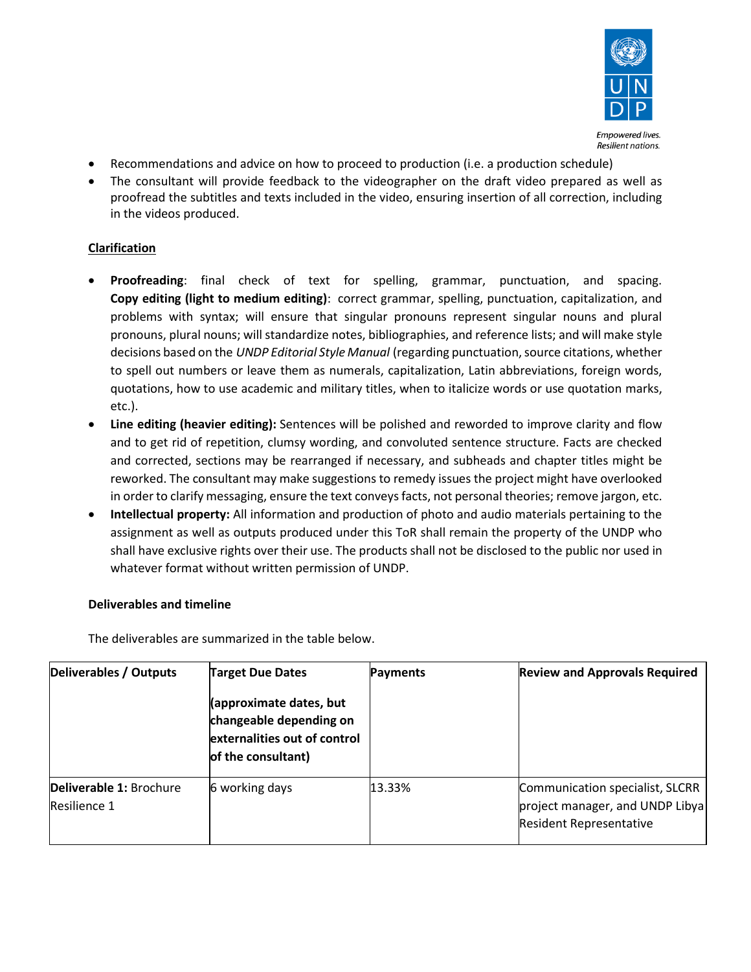

- Recommendations and advice on how to proceed to production (i.e. a production schedule)
- The consultant will provide feedback to the videographer on the draft video prepared as well as proofread the subtitles and texts included in the video, ensuring insertion of all correction, including in the videos produced.

# **Clarification**

- **Proofreading**: final check of text for spelling, grammar, punctuation, and spacing. **Copy editing (light to medium editing)**: correct grammar, spelling, punctuation, capitalization, and problems with syntax; will ensure that singular pronouns represent singular nouns and plural pronouns, plural nouns; will standardize notes, bibliographies, and reference lists; and will make style decisions based on the *UNDP Editorial Style Manual* (regarding punctuation, source citations, whether to spell out numbers or leave them as numerals, capitalization, Latin abbreviations, foreign words, quotations, how to use academic and military titles, when to italicize words or use quotation marks, etc.).
- **Line editing (heavier editing):** Sentences will be polished and reworded to improve clarity and flow and to get rid of repetition, clumsy wording, and convoluted sentence structure. Facts are checked and corrected, sections may be rearranged if necessary, and subheads and chapter titles might be reworked. The consultant may make suggestions to remedy issues the project might have overlooked in order to clarify messaging, ensure the text conveys facts, not personal theories; remove jargon, etc.
- **Intellectual property:** All information and production of photo and audio materials pertaining to the assignment as well as outputs produced under this ToR shall remain the property of the UNDP who shall have exclusive rights over their use. The products shall not be disclosed to the public nor used in whatever format without written permission of UNDP.

# **Deliverables and timeline**

The deliverables are summarized in the table below.

| <b>Deliverables / Outputs</b>           | <b>Target Due Dates</b>                                                                                  | Payments | <b>Review and Approvals Required</b>                                                                 |
|-----------------------------------------|----------------------------------------------------------------------------------------------------------|----------|------------------------------------------------------------------------------------------------------|
|                                         | (approximate dates, but<br>changeable depending on<br>externalities out of control<br>of the consultant) |          |                                                                                                      |
| Deliverable 1: Brochure<br>Resilience 1 | 6 working days                                                                                           | 13.33%   | Communication specialist, SLCRR<br>project manager, and UNDP Libya<br><b>Resident Representative</b> |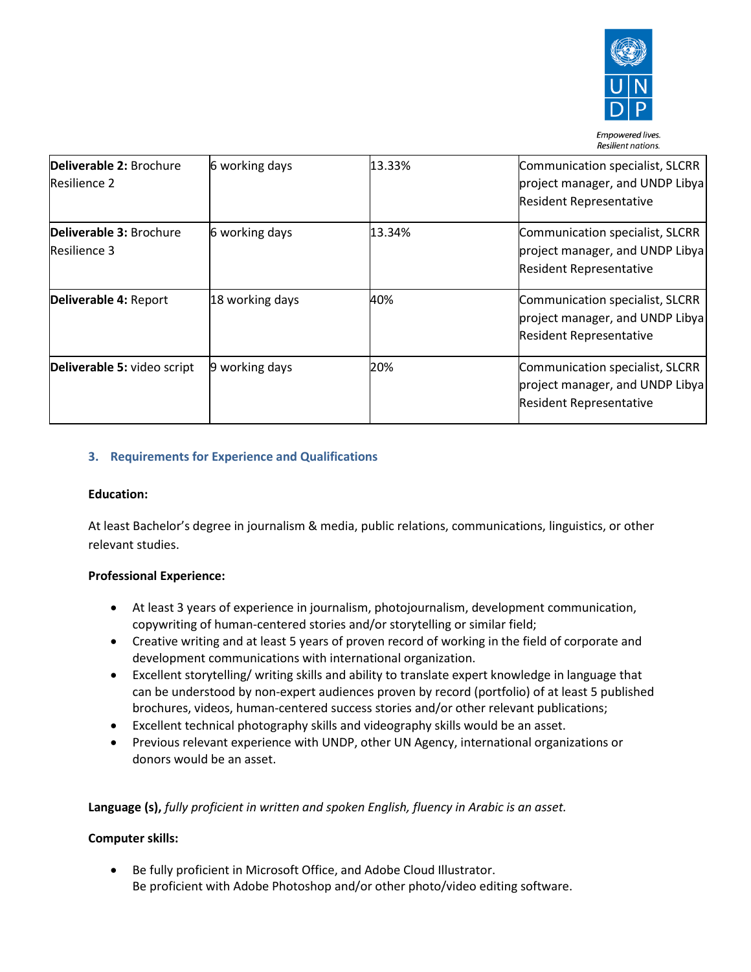

| Deliverable 2: Brochure<br>Resilience 2 | 6 working days  | 13.33% | Communication specialist, SLCRR<br>project manager, and UNDP Libya<br><b>Resident Representative</b> |
|-----------------------------------------|-----------------|--------|------------------------------------------------------------------------------------------------------|
| Deliverable 3: Brochure<br>Resilience 3 | 6 working days  | 13.34% | Communication specialist, SLCRR<br>project manager, and UNDP Libya<br><b>Resident Representative</b> |
| Deliverable 4: Report                   | 18 working days | 40%    | Communication specialist, SLCRR<br>project manager, and UNDP Libya<br><b>Resident Representative</b> |
| Deliverable 5: video script             | 9 working days  | 20%    | Communication specialist, SLCRR<br>project manager, and UNDP Libya<br><b>Resident Representative</b> |

# **3. Requirements for Experience and Qualifications**

### **Education:**

At least Bachelor's degree in journalism & media, public relations, communications, linguistics, or other relevant studies.

### **Professional Experience:**

- At least 3 years of experience in journalism, photojournalism, development communication, copywriting of human-centered stories and/or storytelling or similar field;
- Creative writing and at least 5 years of proven record of working in the field of corporate and development communications with international organization.
- Excellent storytelling/ writing skills and ability to translate expert knowledge in language that can be understood by non-expert audiences proven by record (portfolio) of at least 5 published brochures, videos, human-centered success stories and/or other relevant publications;
- Excellent technical photography skills and videography skills would be an asset.
- Previous relevant experience with UNDP, other UN Agency, international organizations or donors would be an asset.

**Language (s),** *fully proficient in written and spoken English, fluency in Arabic is an asset.*

### **Computer skills:**

• Be fully proficient in Microsoft Office, and Adobe Cloud Illustrator. Be proficient with Adobe Photoshop and/or other photo/video editing software.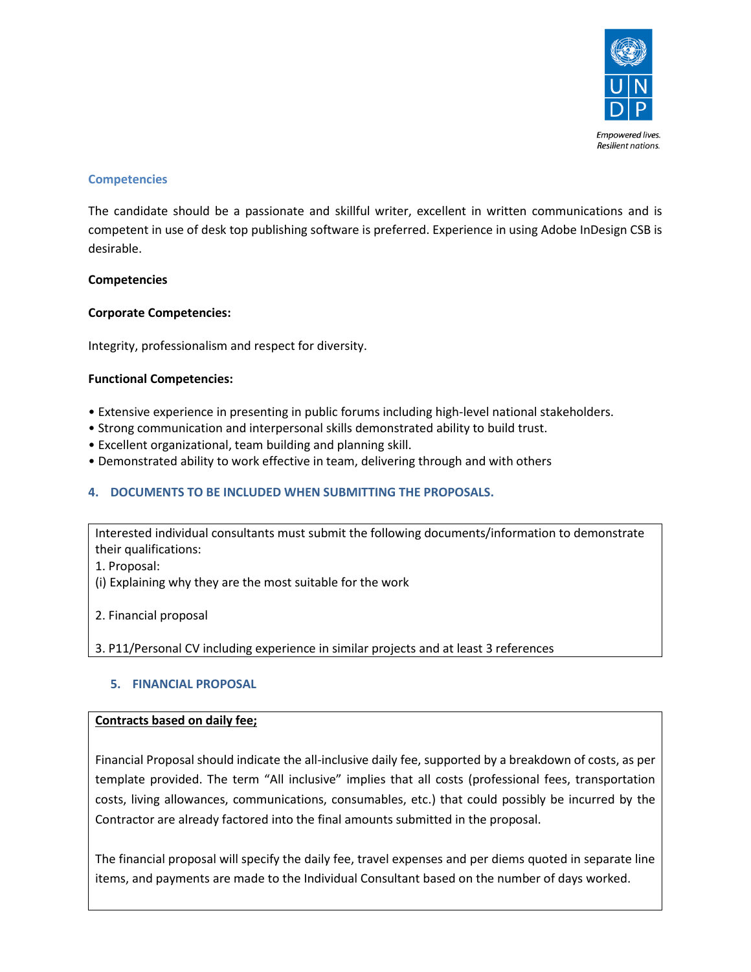

### **Competencies**

The candidate should be a passionate and skillful writer, excellent in written communications and is competent in use of desk top publishing software is preferred. Experience in using Adobe InDesign CSB is desirable.

### **Competencies**

### **Corporate Competencies:**

Integrity, professionalism and respect for diversity.

### **Functional Competencies:**

- Extensive experience in presenting in public forums including high-level national stakeholders.
- Strong communication and interpersonal skills demonstrated ability to build trust.
- Excellent organizational, team building and planning skill.
- Demonstrated ability to work effective in team, delivering through and with others

# **4. DOCUMENTS TO BE INCLUDED WHEN SUBMITTING THE PROPOSALS.**

Interested individual consultants must submit the following documents/information to demonstrate their qualifications:

- 1. Proposal:
- (i) Explaining why they are the most suitable for the work
- 2. Financial proposal

3. P11/Personal CV including experience in similar projects and at least 3 references

# **5. FINANCIAL PROPOSAL**

### **Contracts based on daily fee;**

Financial Proposal should indicate the all-inclusive daily fee, supported by a breakdown of costs, as per template provided. The term "All inclusive" implies that all costs (professional fees, transportation costs, living allowances, communications, consumables, etc.) that could possibly be incurred by the Contractor are already factored into the final amounts submitted in the proposal.

The financial proposal will specify the daily fee, travel expenses and per diems quoted in separate line items, and payments are made to the Individual Consultant based on the number of days worked.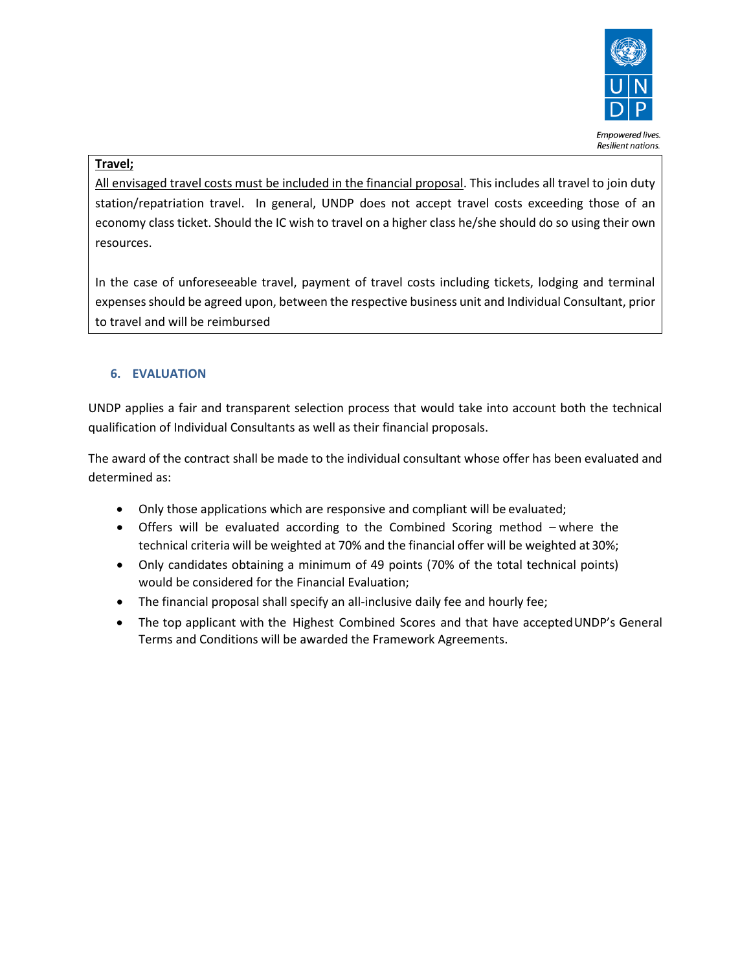

### **Travel;**

All envisaged travel costs must be included in the financial proposal. This includes all travel to join duty station/repatriation travel. In general, UNDP does not accept travel costs exceeding those of an economy class ticket. Should the IC wish to travel on a higher class he/she should do so using their own resources.

In the case of unforeseeable travel, payment of travel costs including tickets, lodging and terminal expenses should be agreed upon, between the respective business unit and Individual Consultant, prior to travel and will be reimbursed

# **6. EVALUATION**

UNDP applies a fair and transparent selection process that would take into account both the technical qualification of Individual Consultants as well as their financial proposals.

The award of the contract shall be made to the individual consultant whose offer has been evaluated and determined as:

- Only those applications which are responsive and compliant will be evaluated;
- Offers will be evaluated according to the Combined Scoring method where the technical criteria will be weighted at 70% and the financial offer will be weighted at 30%;
- Only candidates obtaining a minimum of 49 points (70% of the total technical points) would be considered for the Financial Evaluation;
- The financial proposal shall specify an all-inclusive daily fee and hourly fee;
- The top applicant with the Highest Combined Scores and that have accepted UNDP's General Terms and Conditions will be awarded the Framework Agreements.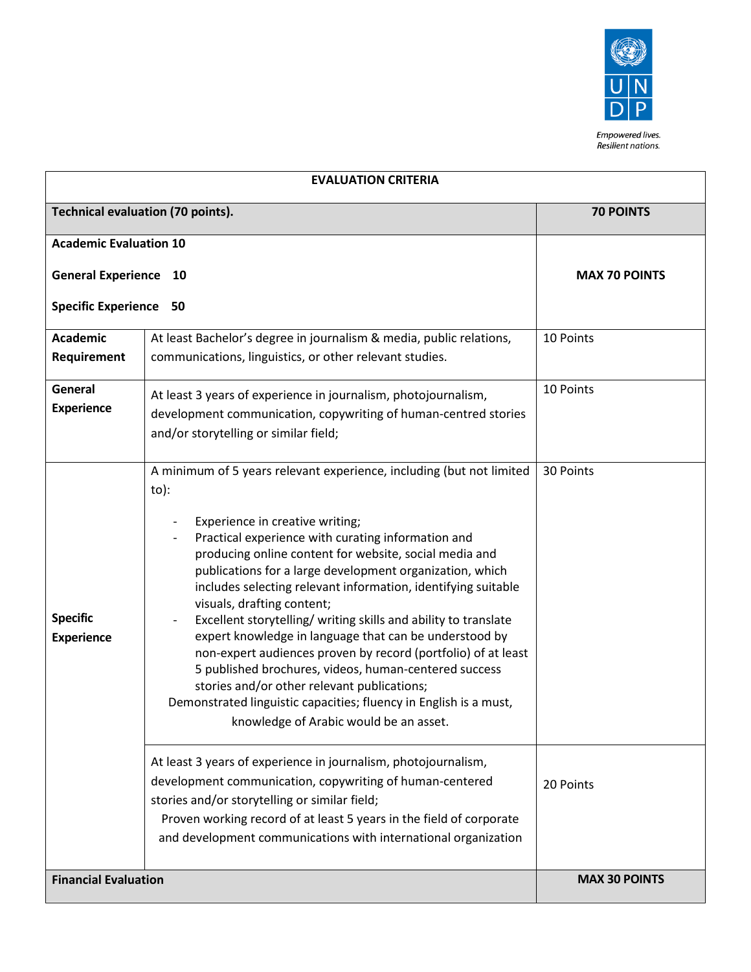

Empowered lives. Resilient nations.

| <b>EVALUATION CRITERIA</b>               |                                                                                                                                                                                                                                                                                                                                                                                                                                                                                                                                                                                                                                                                                                                                                                                                                 |                      |
|------------------------------------------|-----------------------------------------------------------------------------------------------------------------------------------------------------------------------------------------------------------------------------------------------------------------------------------------------------------------------------------------------------------------------------------------------------------------------------------------------------------------------------------------------------------------------------------------------------------------------------------------------------------------------------------------------------------------------------------------------------------------------------------------------------------------------------------------------------------------|----------------------|
| <b>Technical evaluation (70 points).</b> |                                                                                                                                                                                                                                                                                                                                                                                                                                                                                                                                                                                                                                                                                                                                                                                                                 | <b>70 POINTS</b>     |
| <b>Academic Evaluation 10</b>            |                                                                                                                                                                                                                                                                                                                                                                                                                                                                                                                                                                                                                                                                                                                                                                                                                 |                      |
| <b>General Experience 10</b>             |                                                                                                                                                                                                                                                                                                                                                                                                                                                                                                                                                                                                                                                                                                                                                                                                                 | <b>MAX 70 POINTS</b> |
| <b>Specific Experience 50</b>            |                                                                                                                                                                                                                                                                                                                                                                                                                                                                                                                                                                                                                                                                                                                                                                                                                 |                      |
| <b>Academic</b><br>Requirement           | At least Bachelor's degree in journalism & media, public relations,<br>communications, linguistics, or other relevant studies.                                                                                                                                                                                                                                                                                                                                                                                                                                                                                                                                                                                                                                                                                  | 10 Points            |
| General<br><b>Experience</b>             | At least 3 years of experience in journalism, photojournalism,<br>development communication, copywriting of human-centred stories<br>and/or storytelling or similar field;                                                                                                                                                                                                                                                                                                                                                                                                                                                                                                                                                                                                                                      | 10 Points            |
| <b>Specific</b><br><b>Experience</b>     | A minimum of 5 years relevant experience, including (but not limited<br>to):<br>Experience in creative writing;<br>Practical experience with curating information and<br>producing online content for website, social media and<br>publications for a large development organization, which<br>includes selecting relevant information, identifying suitable<br>visuals, drafting content;<br>Excellent storytelling/ writing skills and ability to translate<br>expert knowledge in language that can be understood by<br>non-expert audiences proven by record (portfolio) of at least<br>5 published brochures, videos, human-centered success<br>stories and/or other relevant publications;<br>Demonstrated linguistic capacities; fluency in English is a must,<br>knowledge of Arabic would be an asset. | 30 Points            |
|                                          | At least 3 years of experience in journalism, photojournalism,<br>development communication, copywriting of human-centered<br>stories and/or storytelling or similar field;<br>Proven working record of at least 5 years in the field of corporate<br>and development communications with international organization                                                                                                                                                                                                                                                                                                                                                                                                                                                                                            | 20 Points            |
| <b>Financial Evaluation</b>              |                                                                                                                                                                                                                                                                                                                                                                                                                                                                                                                                                                                                                                                                                                                                                                                                                 | <b>MAX 30 POINTS</b> |